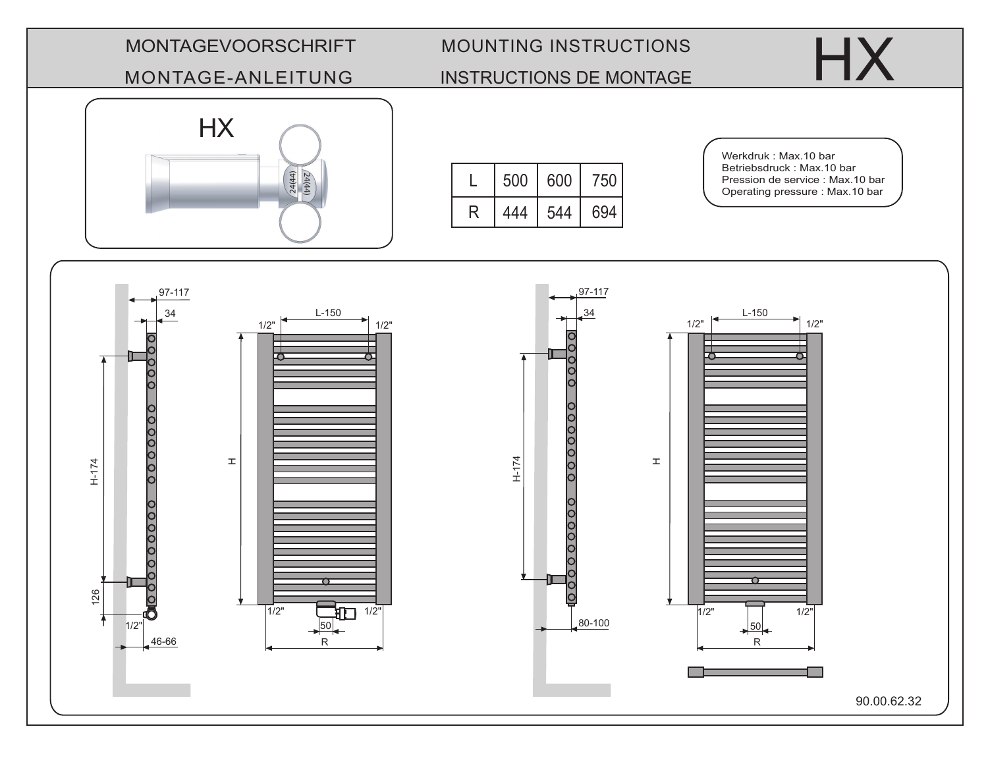